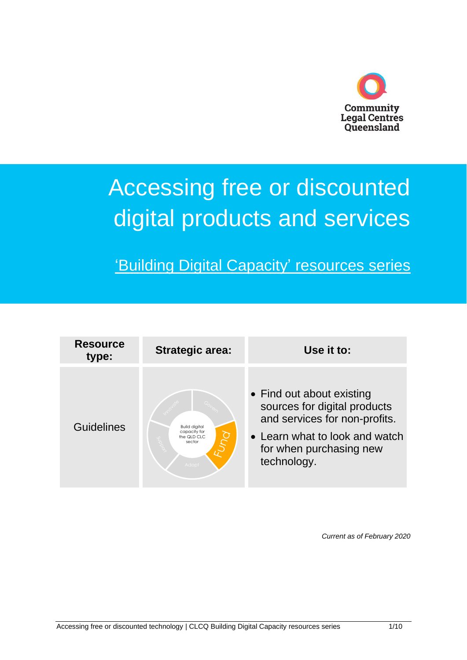

# Accessing free or discounted digital products and services

# 'Building Digital Capacity' resources series

| <b>Resource</b><br>type: | <b>Strategic area:</b>                                                        | Use it to:                                                                                                                                                             |
|--------------------------|-------------------------------------------------------------------------------|------------------------------------------------------------------------------------------------------------------------------------------------------------------------|
| <b>Guidelines</b>        | <b>Build digital</b><br>capacity for<br>Dun<br>the QLD CLC<br>sector<br>Adopt | • Find out about existing<br>sources for digital products<br>and services for non-profits.<br>• Learn what to look and watch<br>for when purchasing new<br>technology. |

*Current as of February 2020*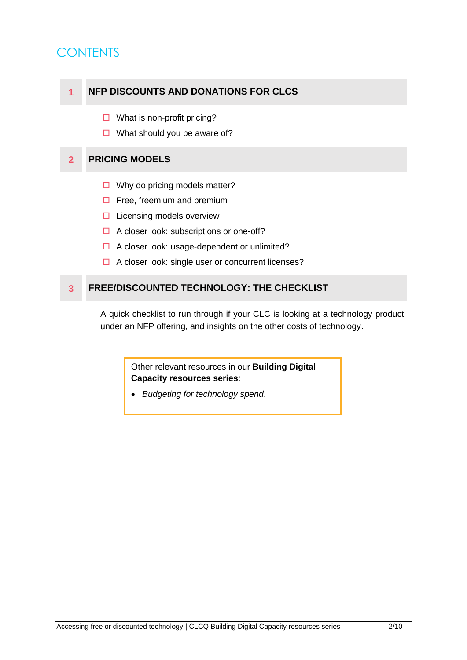# **CONTENTS**

#### **1 NFP DISCOUNTS AND DONATIONS FOR CLCS**

- $\Box$  What is non-profit pricing?
- $\Box$  What should you be aware of?

#### **2 PRICING MODELS**

- $\Box$  Why do pricing models matter?
- $\Box$  Free, freemium and premium
- $\Box$  Licensing models overview
- $\Box$  A closer look: subscriptions or one-off?
- $\Box$  A closer look: usage-dependent or unlimited?
- $\Box$  A closer look: single user or concurrent licenses?

#### **3 FREE/DISCOUNTED TECHNOLOGY: THE CHECKLIST**

A quick checklist to run through if your CLC is looking at a technology product under an NFP offering, and insights on the other costs of technology.

> Other relevant resources in our **Building Digital Capacity resources series**:

• *Budgeting for technology spend*.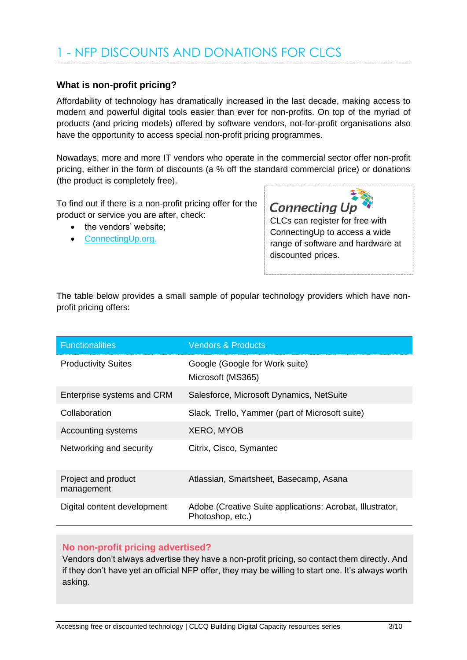# 1 - NFP DISCOUNTS AND DONATIONS FOR CLCS

#### **What is non-profit pricing?**

Affordability of technology has dramatically increased in the last decade, making access to modern and powerful digital tools easier than ever for non-profits. On top of the myriad of products (and pricing models) offered by software vendors, not-for-profit organisations also have the opportunity to access special non-profit pricing programmes.

Nowadays, more and more IT vendors who operate in the commercial sector offer non-profit pricing, either in the form of discounts (a % off the standard commercial price) or donations (the product is completely free).

To find out if there is a non-profit pricing offer for the product or service you are after, check:

- the vendors' website;
- [ConnectingUp.org.](http://www.connectingup.org/)

**Connecting Up** CLCs can register for free with ConnectingUp to access a wide range of software and hardware at discounted prices.

The table below provides a small sample of popular technology providers which have nonprofit pricing offers:

| <b>Functionalities</b>            | <b>Vendors &amp; Products</b>                                                 |
|-----------------------------------|-------------------------------------------------------------------------------|
| <b>Productivity Suites</b>        | Google (Google for Work suite)<br>Microsoft (MS365)                           |
| Enterprise systems and CRM        | Salesforce, Microsoft Dynamics, NetSuite                                      |
| Collaboration                     | Slack, Trello, Yammer (part of Microsoft suite)                               |
| Accounting systems                | <b>XERO, MYOB</b>                                                             |
| Networking and security           | Citrix, Cisco, Symantec                                                       |
| Project and product<br>management | Atlassian, Smartsheet, Basecamp, Asana                                        |
| Digital content development       | Adobe (Creative Suite applications: Acrobat, Illustrator,<br>Photoshop, etc.) |

#### **No non-profit pricing advertised?**

**What should you be aware of?** Vendors don't always advertise they have a non-profit pricing, so contact them directly. And if they don't have yet an official NFP offer, they may be willing to start one. It's always worth asking.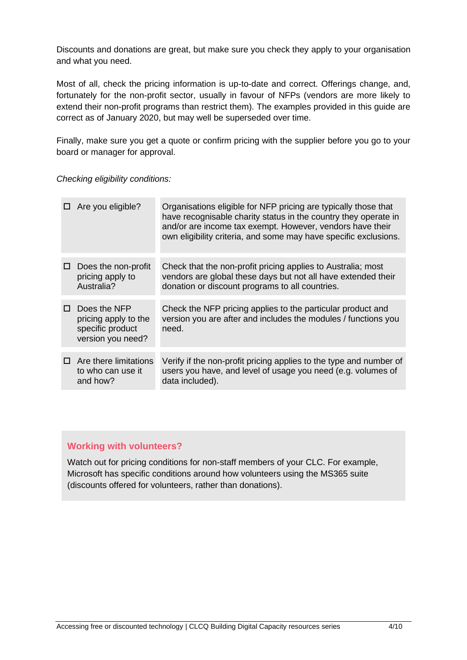Discounts and donations are great, but make sure you check they apply to your organisation and what you need.

Most of all, check the pricing information is up-to-date and correct. Offerings change, and, fortunately for the non-profit sector, usually in favour of NFPs (vendors are more likely to extend their non-profit programs than restrict them). The examples provided in this guide are correct as of January 2020, but may well be superseded over time.

Finally, make sure you get a quote or confirm pricing with the supplier before you go to your board or manager for approval.

*Checking eligibility conditions:*

| Are you eligible?                                                             | Organisations eligible for NFP pricing are typically those that<br>have recognisable charity status in the country they operate in<br>and/or are income tax exempt. However, vendors have their<br>own eligibility criteria, and some may have specific exclusions. |
|-------------------------------------------------------------------------------|---------------------------------------------------------------------------------------------------------------------------------------------------------------------------------------------------------------------------------------------------------------------|
|                                                                               |                                                                                                                                                                                                                                                                     |
| pricing apply to<br>Australia?                                                | Check that the non-profit pricing applies to Australia; most<br>vendors are global these days but not all have extended their<br>donation or discount programs to all countries.                                                                                    |
|                                                                               |                                                                                                                                                                                                                                                                     |
| Does the NFP<br>pricing apply to the<br>specific product<br>version you need? | Check the NFP pricing applies to the particular product and<br>version you are after and includes the modules / functions you<br>need.                                                                                                                              |
|                                                                               |                                                                                                                                                                                                                                                                     |
| Are there limitations<br>to who can use it<br>and how?                        | Verify if the non-profit pricing applies to the type and number of<br>users you have, and level of usage you need (e.g. volumes of<br>data included).                                                                                                               |
|                                                                               | Does the non-profit                                                                                                                                                                                                                                                 |

#### **Working with volunteers?**

Watch out for pricing conditions for non-staff members of your CLC. For example, Microsoft has specific conditions around how volunteers using the MS365 suite (discounts offered for volunteers, rather than donations).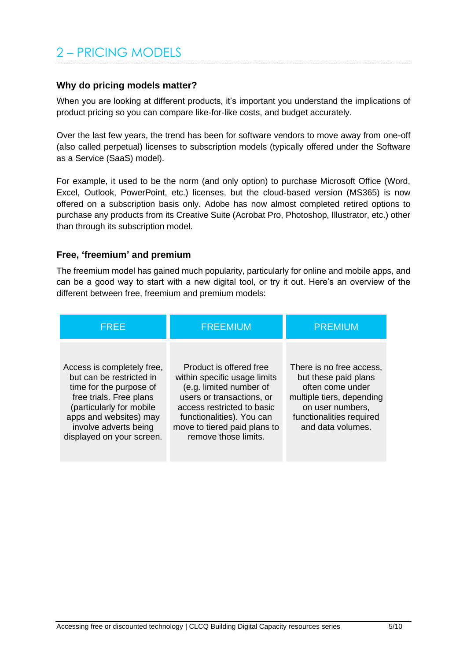# 2 – PRICING MODELS

#### **Why do pricing models matter?**

When you are looking at different products, it's important you understand the implications of product pricing so you can compare like-for-like costs, and budget accurately.

Over the last few years, the trend has been for software vendors to move away from one-off (also called perpetual) licenses to subscription models (typically offered under the Software as a Service (SaaS) model).

For example, it used to be the norm (and only option) to purchase Microsoft Office (Word, Excel, Outlook, PowerPoint, etc.) licenses, but the cloud-based version (MS365) is now offered on a subscription basis only. Adobe has now almost completed retired options to purchase any products from its Creative Suite (Acrobat Pro, Photoshop, Illustrator, etc.) other than through its subscription model.

#### **Free, 'freemium' and premium**

The freemium model has gained much popularity, particularly for online and mobile apps, and can be a good way to start with a new digital tool, or try it out. Here's an overview of the different between free, freemium and premium models:

| FREE                                                                                                                                                                                                                     | <b>FREEMIUM</b>                                                                                                                                                                                                                    | <b>PREMIUM</b>                                                                                                                                                         |
|--------------------------------------------------------------------------------------------------------------------------------------------------------------------------------------------------------------------------|------------------------------------------------------------------------------------------------------------------------------------------------------------------------------------------------------------------------------------|------------------------------------------------------------------------------------------------------------------------------------------------------------------------|
| Access is completely free,<br>but can be restricted in<br>time for the purpose of<br>free trials. Free plans<br>(particularly for mobile<br>apps and websites) may<br>involve adverts being<br>displayed on your screen. | Product is offered free<br>within specific usage limits<br>(e.g. limited number of<br>users or transactions, or<br>access restricted to basic<br>functionalities). You can<br>move to tiered paid plans to<br>remove those limits. | There is no free access,<br>but these paid plans<br>often come under<br>multiple tiers, depending<br>on user numbers,<br>functionalities required<br>and data volumes. |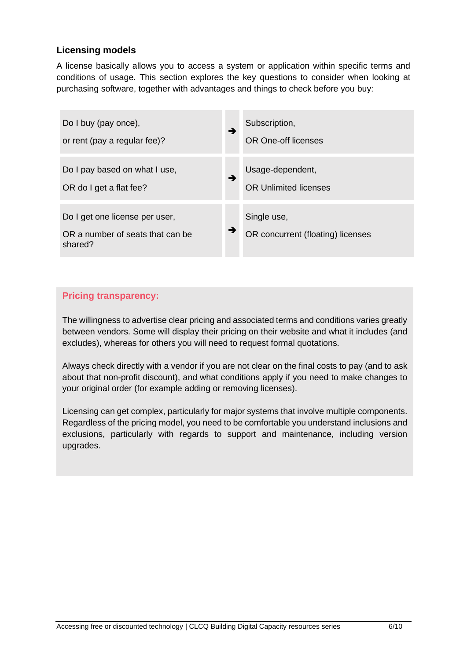#### **Licensing models**

A license basically allows you to access a system or application within specific terms and conditions of usage. This section explores the key questions to consider when looking at purchasing software, together with advantages and things to check before you buy:



#### **Pricing transparency:**

The willingness to advertise clear pricing and associated terms and conditions varies greatly between vendors. Some will display their pricing on their website and what it includes (and excludes), whereas for others you will need to request formal quotations.

Always check directly with a vendor if you are not clear on the final costs to pay (and to ask about that non-profit discount), and what conditions apply if you need to make changes to your original order (for example adding or removing licenses).

Licensing can get complex, particularly for major systems that involve multiple components. Regardless of the pricing model, you need to be comfortable you understand inclusions and exclusions, particularly with regards to support and maintenance, including version upgrades.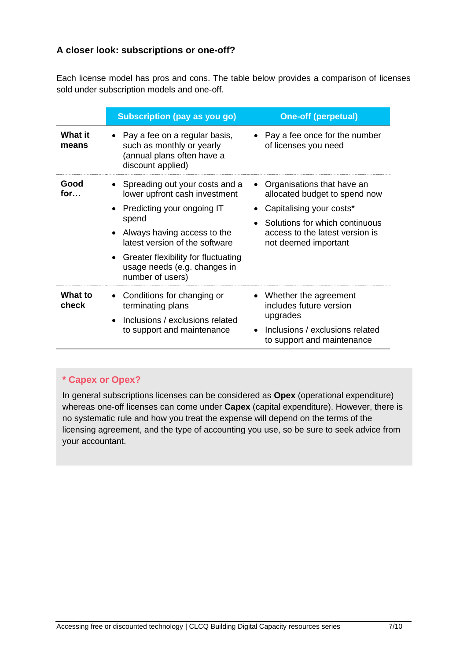#### **A closer look: subscriptions or one-off?**

Each license model has pros and cons. The table below provides a comparison of licenses sold under subscription models and one-off.

|                         | Subscription (pay as you go)                                                                                                                                                                                                                                                           | <b>One-off (perpetual)</b>                                                                                                                                                                        |
|-------------------------|----------------------------------------------------------------------------------------------------------------------------------------------------------------------------------------------------------------------------------------------------------------------------------------|---------------------------------------------------------------------------------------------------------------------------------------------------------------------------------------------------|
| <b>What it</b><br>means | Pay a fee on a regular basis,<br>such as monthly or yearly<br>(annual plans often have a<br>discount applied)                                                                                                                                                                          | • Pay a fee once for the number<br>of licenses you need                                                                                                                                           |
| Good<br>for             | • Spreading out your costs and a<br>lower upfront cash investment<br>Predicting your ongoing IT<br>spend<br>Always having access to the<br>$\bullet$<br>latest version of the software<br>Greater flexibility for fluctuating<br>٠<br>usage needs (e.g. changes in<br>number of users) | Organisations that have an<br>$\bullet$<br>allocated budget to spend now<br>Capitalising your costs*<br>Solutions for which continuous<br>access to the latest version is<br>not deemed important |
| What to<br>check        | Conditions for changing or<br>terminating plans<br>Inclusions / exclusions related<br>to support and maintenance                                                                                                                                                                       | Whether the agreement<br>includes future version<br>upgrades<br>Inclusions / exclusions related<br>to support and maintenance                                                                     |

### **\* Capex or Opex?**

In general subscriptions licenses can be considered as **Opex** (operational expenditure) whereas one-off licenses can come under **Capex** (capital expenditure). However, there is no systematic rule and how you treat the expense will depend on the terms of the licensing agreement, and the type of accounting you use, so be sure to seek advice from your accountant.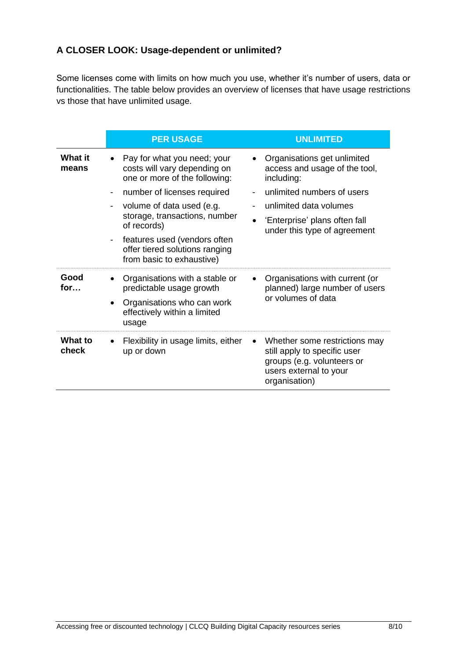#### **A CLOSER LOOK: Usage-dependent or unlimited?**

Some licenses come with limits on how much you use, whether it's number of users, data or functionalities. The table below provides an overview of licenses that have usage restrictions vs those that have unlimited usage.

|                         | <b>PER USAGE</b>                                                                                                                                                                                                                                                                                                                                                | <b>UNLIMITED</b>                                                                                                                                                                                    |
|-------------------------|-----------------------------------------------------------------------------------------------------------------------------------------------------------------------------------------------------------------------------------------------------------------------------------------------------------------------------------------------------------------|-----------------------------------------------------------------------------------------------------------------------------------------------------------------------------------------------------|
| <b>What it</b><br>means | Pay for what you need; your<br>costs will vary depending on<br>one or more of the following:<br>number of licenses required<br>volume of data used (e.g.<br>$\overline{\phantom{a}}$<br>storage, transactions, number<br>of records)<br>features used (vendors often<br>$\overline{\phantom{a}}$<br>offer tiered solutions ranging<br>from basic to exhaustive) | Organisations get unlimited<br>access and usage of the tool,<br>including:<br>unlimited numbers of users<br>unlimited data volumes<br>'Enterprise' plans often fall<br>under this type of agreement |
| Good<br>for             | Organisations with a stable or<br>predictable usage growth<br>Organisations who can work<br>$\bullet$<br>effectively within a limited<br>usage                                                                                                                                                                                                                  | Organisations with current (or<br>planned) large number of users<br>or volumes of data                                                                                                              |
| <b>What to</b><br>check | Flexibility in usage limits, either<br>up or down                                                                                                                                                                                                                                                                                                               | Whether some restrictions may<br>still apply to specific user<br>groups (e.g. volunteers or<br>users external to your<br>organisation)                                                              |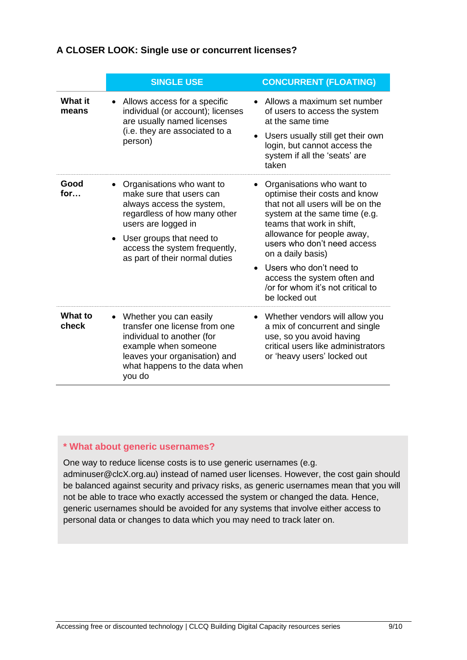#### **A CLOSER LOOK: Single use or concurrent licenses?**

|                         | <b>SINGLE USE</b>                                                                                                                                                                                                                        | <b>CONCURRENT (FLOATING)</b>                                                                                                                                                                                                                                                                                                                                                              |
|-------------------------|------------------------------------------------------------------------------------------------------------------------------------------------------------------------------------------------------------------------------------------|-------------------------------------------------------------------------------------------------------------------------------------------------------------------------------------------------------------------------------------------------------------------------------------------------------------------------------------------------------------------------------------------|
| What it<br>means        | Allows access for a specific<br>individual (or account); licenses<br>are usually named licenses<br>(i.e. they are associated to a<br>person)                                                                                             | Allows a maximum set number<br>of users to access the system<br>at the same time<br>• Users usually still get their own<br>login, but cannot access the<br>system if all the 'seats' are<br>taken                                                                                                                                                                                         |
| Good<br>for             | Organisations who want to<br>make sure that users can<br>always access the system,<br>regardless of how many other<br>users are logged in<br>User groups that need to<br>access the system frequently,<br>as part of their normal duties | Organisations who want to<br>$\bullet$<br>optimise their costs and know<br>that not all users will be on the<br>system at the same time (e.g.<br>teams that work in shift,<br>allowance for people away,<br>users who don't need access<br>on a daily basis)<br>Users who don't need to<br>$\bullet$<br>access the system often and<br>/or for whom it's not critical to<br>be locked out |
| <b>What to</b><br>check | Whether you can easily<br>transfer one license from one<br>individual to another (for<br>example when someone<br>leaves your organisation) and<br>what happens to the data when<br>you do                                                | • Whether vendors will allow you<br>a mix of concurrent and single<br>use, so you avoid having<br>critical users like administrators<br>or 'heavy users' locked out                                                                                                                                                                                                                       |

#### **\* What about generic usernames?**

One way to reduce license costs is to use generic usernames (e.g. adminuser@clcX.org.au) instead of named user licenses. However, the cost gain should be balanced against security and privacy risks, as generic usernames mean that you will not be able to trace who exactly accessed the system or changed the data. Hence, generic usernames should be avoided for any systems that involve either access to personal data or changes to data which you may need to track later on.